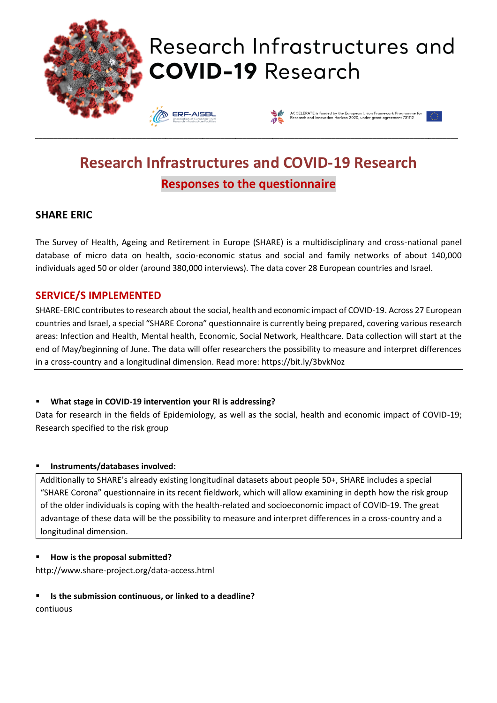

# Research Infrastructures and **COVID-19 Research**

**ERF-AISBL** 



# **Research Infrastructures and COVID-19 Research Responses to the questionnaire**

\_\_\_\_\_\_\_\_\_\_\_\_\_\_\_\_\_\_\_\_\_\_\_\_\_\_\_\_\_\_\_\_\_\_\_\_\_\_\_\_\_\_\_\_\_\_\_\_\_\_\_\_\_\_\_\_\_\_\_\_\_\_\_\_\_\_\_\_\_\_\_\_\_\_\_\_\_\_\_\_\_\_\_\_\_\_\_\_\_\_\_\_\_\_\_\_\_\_\_\_\_\_\_\_\_\_\_\_\_\_\_\_\_\_

# **SHARE ERIC**

The Survey of Health, Ageing and Retirement in Europe (SHARE) is a multidisciplinary and cross-national panel database of micro data on health, socio-economic status and social and family networks of about 140,000 individuals aged 50 or older (around 380,000 interviews). The data cover 28 European countries and Israel.

## **SERVICE/S IMPLEMENTED**

SHARE-ERIC contributes to research about the social, health and economic impact of COVID-19. Across 27 European countries and Israel, a special "SHARE Corona" questionnaire is currently being prepared, covering various research areas: Infection and Health, Mental health, Economic, Social Network, Healthcare. Data collection will start at the end of May/beginning of June. The data will offer researchers the possibility to measure and interpret differences in a cross-country and a longitudinal dimension. Read more: https://bit.ly/3bvkNoz

#### ▪ **What stage in COVID-19 intervention your RI is addressing?**

Data for research in the fields of Epidemiology, as well as the social, health and economic impact of COVID-19; Research specified to the risk group

#### ▪ **Instruments/databases involved:**

Additionally to SHARE's already existing longitudinal datasets about people 50+, SHARE includes a special "SHARE Corona" questionnaire in its recent fieldwork, which will allow examining in depth how the risk group of the older individuals is coping with the health-related and socioeconomic impact of COVID-19. The great advantage of these data will be the possibility to measure and interpret differences in a cross-country and a longitudinal dimension.

#### ▪ **How is the proposal submitted?**

http://www.share-project.org/data-access.html

#### ▪ **Is the submission continuous, or linked to a deadline?**

contiuous